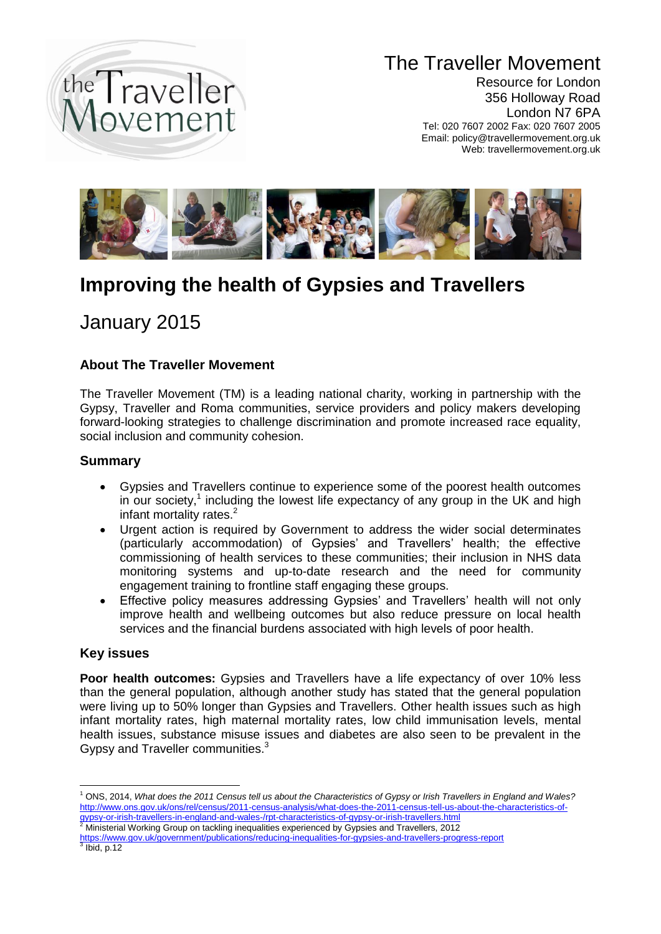

# The Traveller Movement

Resource for London 356 Holloway Road London N7 6PA Tel: 020 7607 2002 Fax: 020 7607 2005 Email: policy@travellermovement.org.uk Web: travellermovement.org.uk



# **Improving the health of Gypsies and Travellers**

# January 2015

# **About The Traveller Movement**

The Traveller Movement (TM) is a leading national charity, working in partnership with the Gypsy, Traveller and Roma communities, service providers and policy makers developing forward-looking strategies to challenge discrimination and promote increased race equality, social inclusion and community cohesion.

## **Summary**

- Gypsies and Travellers continue to experience some of the poorest health outcomes in our society,<sup>1</sup> including the lowest life expectancy of any group in the UK and high infant mortality rates. $<sup>2</sup>$ </sup>
- Urgent action is required by Government to address the wider social determinates (particularly accommodation) of Gypsies' and Travellers' health; the effective commissioning of health services to these communities; their inclusion in NHS data monitoring systems and up-to-date research and the need for community engagement training to frontline staff engaging these groups.
- Effective policy measures addressing Gypsies' and Travellers' health will not only improve health and wellbeing outcomes but also reduce pressure on local health services and the financial burdens associated with high levels of poor health.

## **Key issues**

**Poor health outcomes:** Gypsies and Travellers have a life expectancy of over 10% less than the general population, although another study has stated that the general population were living up to 50% longer than Gypsies and Travellers. Other health issues such as high infant mortality rates, high maternal mortality rates, low child immunisation levels, mental health issues, substance misuse issues and diabetes are also seen to be prevalent in the Gypsy and Traveller communities.<sup>3</sup>

<sup>1</sup> <sup>1</sup> ONS, 2014, *What does the 2011 Census tell us about the Characteristics of Gypsy or Irish Travellers in England and Wales?* [http://www.ons.gov.uk/ons/rel/census/2011-census-analysis/what-does-the-2011-census-tell-us-about-the-characteristics-of](http://www.ons.gov.uk/ons/rel/census/2011-census-analysis/what-does-the-2011-census-tell-us-about-the-characteristics-of-gypsy-or-irish-travellers-in-england-and-wales-/rpt-characteristics-of-gypsy-or-irish-travellers.html)[gypsy-or-irish-travellers-in-england-and-wales-/rpt-characteristics-of-gypsy-or-irish-travellers.html](http://www.ons.gov.uk/ons/rel/census/2011-census-analysis/what-does-the-2011-census-tell-us-about-the-characteristics-of-gypsy-or-irish-travellers-in-england-and-wales-/rpt-characteristics-of-gypsy-or-irish-travellers.html)

<sup>2</sup> Ministerial Working Group on tackling inequalities experienced by Gypsies and Travellers, 2012

<https://www.gov.uk/government/publications/reducing-inequalities-for-gypsies-and-travellers-progress-report>  $3$  Ibid, p.12